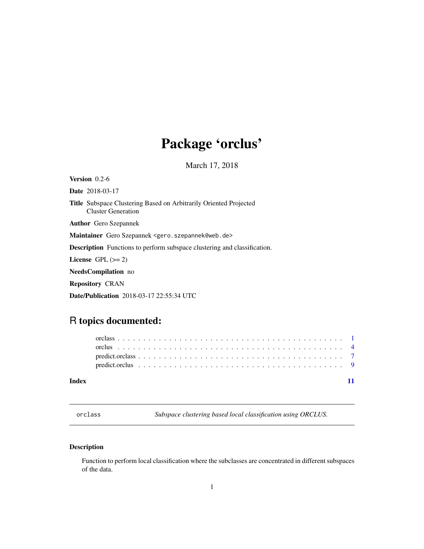## <span id="page-0-0"></span>Package 'orclus'

March 17, 2018

<span id="page-0-1"></span>Version 0.2-6 Date 2018-03-17 Title Subspace Clustering Based on Arbitrarily Oriented Projected Cluster Generation Author Gero Szepannek Maintainer Gero Szepannek <gero.szepannek@web.de> Description Functions to perform subspace clustering and classification. License GPL  $(>= 2)$ NeedsCompilation no Repository CRAN Date/Publication 2018-03-17 22:55:34 UTC

### R topics documented:

| Index |  |  |  |  |  |  |  |  |  |  |  |  |  |  |  |  |  |  |  |
|-------|--|--|--|--|--|--|--|--|--|--|--|--|--|--|--|--|--|--|--|

<span id="page-0-2"></span>orclass *Subspace clustering based local classification using ORCLUS.*

#### Description

Function to perform local classification where the subclasses are concentrated in different subspaces of the data.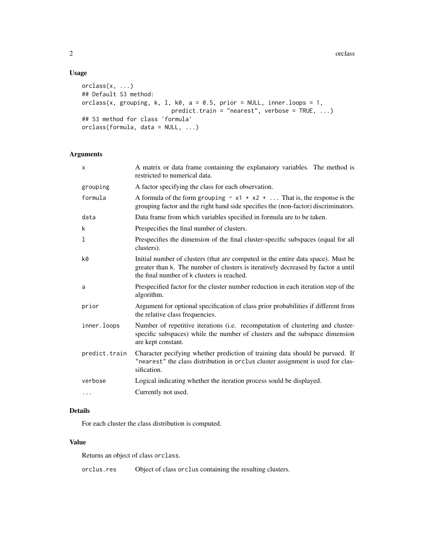#### Usage

```
orclass(x, ...)
## Default S3 method:
orclass(x, grouping, k, l, k0, a = 0.5, prior = NULL, inner.loops = 1,
                          predict.train = "nearest", verbose = TRUE, ...)
## S3 method for class 'formula'
orclass(formula, data = NULL, ...)
```
#### Arguments

| $\mathsf{x}$  | A matrix or data frame containing the explanatory variables. The method is<br>restricted to numerical data.                                                                                                         |
|---------------|---------------------------------------------------------------------------------------------------------------------------------------------------------------------------------------------------------------------|
| grouping      | A factor specifying the class for each observation.                                                                                                                                                                 |
| formula       | A formula of the form grouping $\sim x1 + x2 + $ That is, the response is the<br>grouping factor and the right hand side specifies the (non-factor) discriminators.                                                 |
| data          | Data frame from which variables specified in formula are to be taken.                                                                                                                                               |
| k             | Prespecifies the final number of clusters.                                                                                                                                                                          |
| 1             | Prespecifies the dimension of the final cluster-specific subspaces (equal for all<br>clusters).                                                                                                                     |
| k0            | Initial number of clusters (that are computed in the entire data space). Must be<br>greater than k. The number of clusters is iteratively decreased by factor a until<br>the final number of k clusters is reached. |
| a             | Prespecified factor for the cluster number reduction in each iteration step of the<br>algorithm.                                                                                                                    |
| prior         | Argument for optional specification of class prior probabilities if different from<br>the relative class frequencies.                                                                                               |
| inner.loops   | Number of repetitive iterations (i.e. recomputation of clustering and cluster-<br>specific subspaces) while the number of clusters and the subspace dimension<br>are kept constant.                                 |
| predict.train | Character pecifying whether prediction of training data should be pursued. If<br>"nearest" the class distribution in orclus cluster assignment is used for clas-<br>sification.                                     |
| verbose       | Logical indicating whether the iteration process sould be displayed.                                                                                                                                                |
| $\cdots$      | Currently not used.                                                                                                                                                                                                 |

#### Details

For each cluster the class distribution is computed.

#### Value

Returns an object of class orclass.

orclus.res Object of class orclus containing the resulting clusters.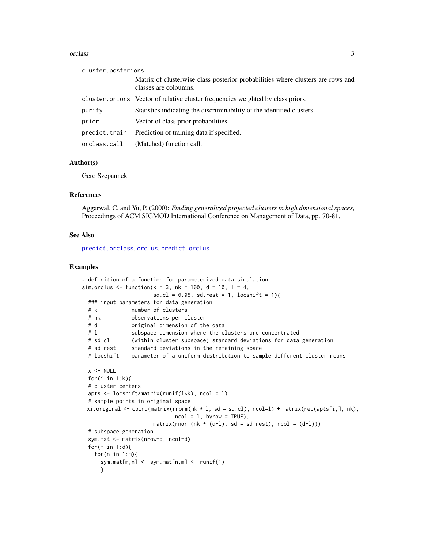#### <span id="page-2-0"></span>orclass 3

| cluster.posteriors |                                                                                                          |
|--------------------|----------------------------------------------------------------------------------------------------------|
|                    | Matrix of clusterwise class posterior probabilities where clusters are rows and<br>classes are coloumns. |
|                    | cluster priors Vector of relative cluster frequencies weighted by class priors.                          |
| purity             | Statistics indicating the discriminability of the identified clusters.                                   |
| prior              | Vector of class prior probabilities.                                                                     |
| predict.train      | Prediction of training data if specified.                                                                |
| orclass.call       | (Matched) function call.                                                                                 |

#### Author(s)

Gero Szepannek

#### References

Aggarwal, C. and Yu, P. (2000): *Finding generalized projected clusters in high dimensional spaces*, Proceedings of ACM SIGMOD International Conference on Management of Data, pp. 70-81.

#### See Also

[predict.orclass](#page-6-1), [orclus](#page-3-1), [predict.orclus](#page-8-1)

```
# definition of a function for parameterized data simulation
sim.orclus <- function(k = 3, nk = 100, d = 10, l = 4,
                      sd.cl = 0.05, sd.rest = 1, locshift = 1){
 ### input parameters for data generation
              number of clusters
 # nk observations per cluster
 # d original dimension of the data
 # 1 Subspace dimension where the clusters are concentrated
 # sd.cl (within cluster subspace) standard deviations for data generation
 # sd.rest standard deviations in the remaining space
 # locshift parameter of a uniform distribution to sample different cluster means
 x < - NULL
 for(i in 1:k){
 # cluster centers
 apts <- locshift*matrix(runif(l*k), ncol = l)
 # sample points in original space
 xi.original \le cbind(matrix(rnorm(nk \star l, sd = sd.cl), ncol=l) + matrix(rep(apts[i,], nk),
                             ncol = 1, byrow = TRUE),
                      matrix(rnorm(nk * (d-1), sd = sd.rest), ncol = (d-1)))# subspace generation
 sym.mat <- matrix(nrow=d, ncol=d)
 for(m in 1:d){
   for(n in 1:m){
     sym.mat[m,n] <- sym.mat[n,m] <- runif(1)
     }
```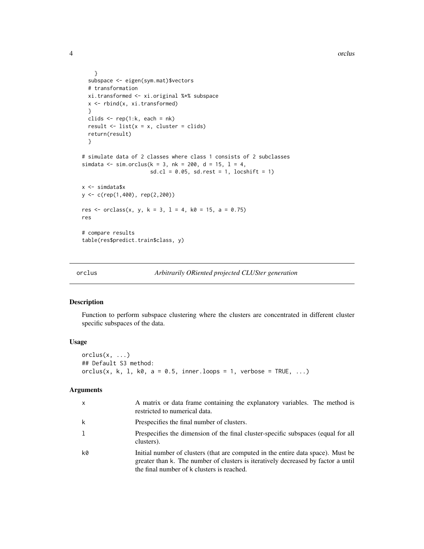```
}
  subspace <- eigen(sym.mat)$vectors
  # transformation
  xi.transformed <- xi.original %*% subspace
  x <- rbind(x, xi.transformed)
  }
  clids \leq rep(1:k, each = nk)
  result \le list(x = x, cluster = clids)
  return(result)
  }
# simulate data of 2 classes where class 1 consists of 2 subclasses
simdata <- sim.orclus(k = 3, nk = 200, d = 15, l = 4,
                      sd.cl = 0.05, sd.rest = 1, locshift = 1)
x <- simdata$x
y <- c(rep(1,400), rep(2,200))
res <- orclass(x, y, k = 3, 1 = 4, k0 = 15, a = 0.75)
res
# compare results
table(res$predict.train$class, y)
```
<span id="page-3-1"></span>

| orclus | Arbitrarily ORiented projected CLUSter generation |  |
|--------|---------------------------------------------------|--|
|--------|---------------------------------------------------|--|

#### Description

Function to perform subspace clustering where the clusters are concentrated in different cluster specific subspaces of the data.

#### Usage

 $orclus(x, \ldots)$ ## Default S3 method: orclus(x, k, l, k0, a = 0.5, inner.loops = 1, verbose = TRUE, ...)

#### Arguments

| X  | A matrix or data frame containing the explanatory variables. The method is<br>restricted to numerical data.                                                                                                         |
|----|---------------------------------------------------------------------------------------------------------------------------------------------------------------------------------------------------------------------|
| k  | Prespecifies the final number of clusters.                                                                                                                                                                          |
| 1  | Prespecifies the dimension of the final cluster-specific subspaces (equal for all<br>clusters).                                                                                                                     |
| k0 | Initial number of clusters (that are computed in the entire data space). Must be<br>greater than k. The number of clusters is iteratively decreased by factor a until<br>the final number of k clusters is reached. |

<span id="page-3-0"></span>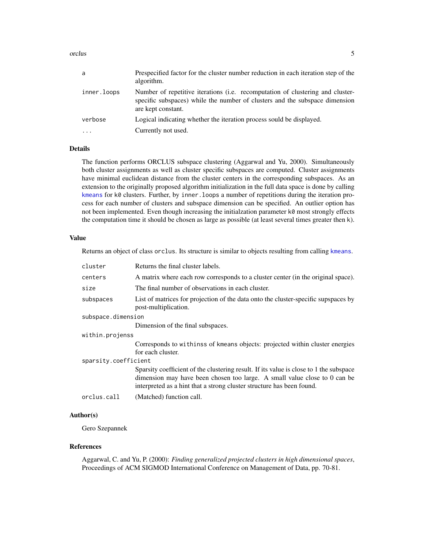#### <span id="page-4-0"></span>orclus 5

| a           | Prespecified factor for the cluster number reduction in each iteration step of the<br>algorithm.                                                                                    |
|-------------|-------------------------------------------------------------------------------------------------------------------------------------------------------------------------------------|
| inner.loops | Number of repetitive iterations (i.e. recomputation of clustering and cluster-<br>specific subspaces) while the number of clusters and the subspace dimension<br>are kept constant. |
| verbose     | Logical indicating whether the iteration process sould be displayed.                                                                                                                |
|             | Currently not used.                                                                                                                                                                 |

#### Details

The function performs ORCLUS subspace clustering (Aggarwal and Yu, 2000). Simultaneously both cluster assignments as well as cluster specific subspaces are computed. Cluster assignments have minimal euclidean distance from the cluster centers in the corresponding subspaces. As an extension to the originally proposed algorithm initialization in the full data space is done by calling [kmeans](#page-0-1) for k0 clusters. Further, by inner. loops a number of repetitions during the iteration process for each number of clusters and subspace dimension can be specified. An outlier option has not been implemented. Even though increasing the initialzation parameter k0 most strongly effects the computation time it should be chosen as large as possible (at least several times greater then k).

#### Value

Returns an object of class orclus. Its structure is similar to objects resulting from calling [kmeans](#page-0-1).

| cluster              | Returns the final cluster labels.                                                                                                                                                                                                            |  |  |  |
|----------------------|----------------------------------------------------------------------------------------------------------------------------------------------------------------------------------------------------------------------------------------------|--|--|--|
| centers              | A matrix where each row corresponds to a cluster center (in the original space).                                                                                                                                                             |  |  |  |
| size                 | The final number of observations in each cluster.                                                                                                                                                                                            |  |  |  |
| subspaces            | List of matrices for projection of the data onto the cluster-specific supspaces by<br>post-multiplication.                                                                                                                                   |  |  |  |
| subspace.dimension   |                                                                                                                                                                                                                                              |  |  |  |
|                      | Dimension of the final subspaces.                                                                                                                                                                                                            |  |  |  |
| within.projenss      |                                                                                                                                                                                                                                              |  |  |  |
|                      | Corresponds to withinss of kmeans objects: projected within cluster energies<br>for each cluster.                                                                                                                                            |  |  |  |
| sparsity.coefficient |                                                                                                                                                                                                                                              |  |  |  |
|                      | Sparsity coefficient of the clustering result. If its value is close to 1 the subspace<br>dimension may have been chosen too large. A small value close to 0 can be<br>interpreted as a hint that a strong cluster structure has been found. |  |  |  |
| orclus.call          | (Matched) function call.                                                                                                                                                                                                                     |  |  |  |

### Author(s)

Gero Szepannek

#### References

Aggarwal, C. and Yu, P. (2000): *Finding generalized projected clusters in high dimensional spaces*, Proceedings of ACM SIGMOD International Conference on Management of Data, pp. 70-81.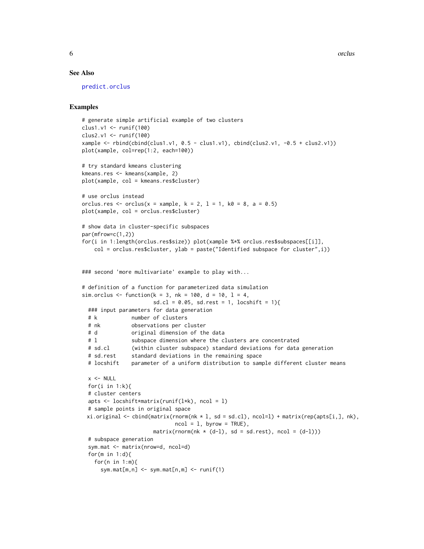**6** orclus and the contract of the contract of the contract of the contract of the contract of the contract of the contract of the contract of the contract of the contract of the contract of the contract of the contract of

#### See Also

[predict.orclus](#page-8-1)

```
# generate simple artificial example of two clusters
clus1.v1 <- runif(100)
clus2.v1 <- runif(100)
xample <- rbind(cbind(clus1.v1, 0.5 - clus1.v1), cbind(clus2.v1, -0.5 + clus2.v1))
plot(xample, col=rep(1:2, each=100))
# try standard kmeans clustering
kmeans.res <- kmeans(xample, 2)
plot(xample, col = kmeans.res$cluster)
# use orclus instead
orclus.res <- orclus(x = xample, k = 2, l = 1, k0 = 8, a = 0.5)
plot(xample, col = orclus.res$cluster)
# show data in cluster-specific subspaces
par(mfrow=c(1,2))
for(i in 1:length(orclus.res$size)) plot(xample %*% orclus.res$subspaces[[i]],
   col = orclus.res$cluster, ylab = paste("Identified subspace for cluster",i))
### second 'more multivariate' example to play with...
# definition of a function for parameterized data simulation
sim.orclus <- function(k = 3, nk = 100, d = 10, l = 4,
                      sd. cl = 0.05, sd. rest = 1, locshift = 1{
 ### input parameters for data generation
 # k number of clusters
 # nk observations per cluster
 # d original dimension of the data
 # 1 Subspace dimension where the clusters are concentrated
 # sd.cl (within cluster subspace) standard deviations for data generation
 # sd.rest standard deviations in the remaining space
 # locshift parameter of a uniform distribution to sample different cluster means
 x < - NULL
 for(i in 1:k){
 # cluster centers
 apts <- locshift*matrix(runif(l*k), ncol = l)
 # sample points in original space
 xi.original \leq cbind(matrix(rnorm(nk * l, sd = sd.cl), ncol=l) + matrix(rep(apts[i,], nk),
                             ncol = 1, byrow = TRUE),
                      matrix(rnorm(nk * (d-1), sd = sd.rest), ncol = (d-1)))# subspace generation
 sym.mat <- matrix(nrow=d, ncol=d)
 for(m in 1:d){
   for(n in 1:m){
     sym.mat[m,n] <- sym.mat[n,m] <- runif(1)
```
<span id="page-5-0"></span>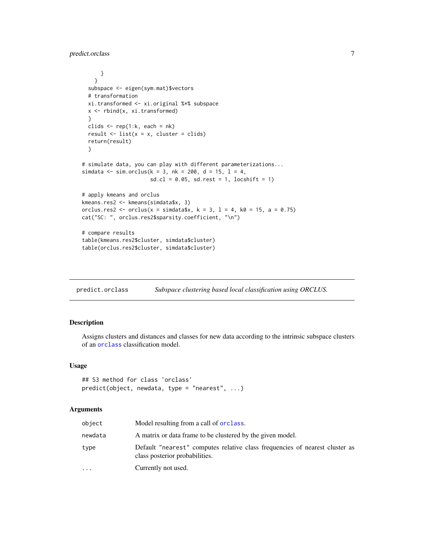```
}
   }
 subspace <- eigen(sym.mat)$vectors
 # transformation
 xi.transformed <- xi.original %*% subspace
 x <- rbind(x, xi.transformed)
 }
 clids \leq rep(1:k, each = nk)
 result \le list(x = x, cluster = clids)
 return(result)
 }
# simulate data, you can play with different parameterizations...
simdata <- sim.orclus(k = 3, nk = 200, d = 15, l = 4,
                      sd.cl = 0.05, sd.rest = 1, locshift = 1)
# apply kmeans and orclus
kmeans.res2 <- kmeans(simdata$x, 3)
orclus.res2 <- orclus(x = simdata$x, k = 3, l = 4, k\theta = 15, a = 0.75)
cat("SC: ", orclus.res2$sparsity.coefficient, "\n")
# compare results
table(kmeans.res2$cluster, simdata$cluster)
table(orclus.res2$cluster, simdata$cluster)
```
<span id="page-6-1"></span>predict.orclass *Subspace clustering based local classification using ORCLUS.*

#### Description

Assigns clusters and distances and classes for new data according to the intrinsic subspace clusters of an [orclass](#page-0-2) classification model.

#### Usage

```
## S3 method for class 'orclass'
predict(object, newdata, type = "nearest", ...)
```
#### Arguments

| object    | Model resulting from a call of <b>orclass</b> .                                                               |
|-----------|---------------------------------------------------------------------------------------------------------------|
| newdata   | A matrix or data frame to be clustered by the given model.                                                    |
| type      | Default "nearest" computes relative class frequencies of nearest cluster as<br>class posterior probabilities. |
| $\ddotsc$ | Currently not used.                                                                                           |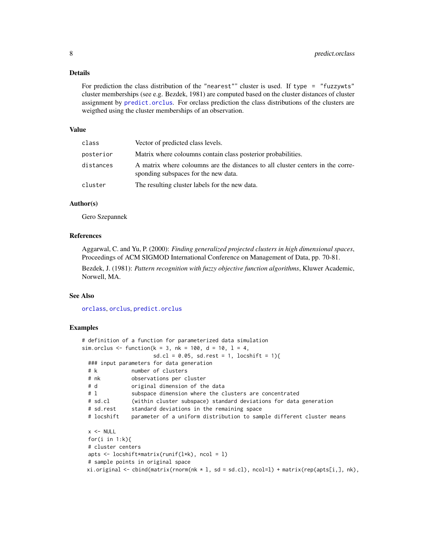#### <span id="page-7-0"></span>Details

For prediction the class distribution of the "nearest"" cluster is used. If type = "fuzzywts" cluster memberships (see e.g. Bezdek, 1981) are computed based on the cluster distances of cluster assignment by [predict.orclus](#page-8-1). For orclass prediction the class distributions of the clusters are weigthed using the cluster memberships of an observation.

#### Value

| class     | Vector of predicted class levels.                                                                                      |
|-----------|------------------------------------------------------------------------------------------------------------------------|
| posterior | Matrix where coloumns contain class posterior probabilities.                                                           |
| distances | A matrix where coloumns are the distances to all cluster centers in the corre-<br>sponding subspaces for the new data. |
| cluster   | The resulting cluster labels for the new data.                                                                         |

#### Author(s)

Gero Szepannek

#### References

Aggarwal, C. and Yu, P. (2000): *Finding generalized projected clusters in high dimensional spaces*, Proceedings of ACM SIGMOD International Conference on Management of Data, pp. 70-81.

Bezdek, J. (1981): *Pattern recognition with fuzzy objective function algorithms*, Kluwer Academic, Norwell, MA.

#### See Also

[orclass](#page-0-2), [orclus](#page-3-1), [predict.orclus](#page-8-1)

```
# definition of a function for parameterized data simulation
sim.orclus <- function(k = 3, nk = 100, d = 10, l = 4,
                     sd.cl = 0.05, sd.rest = 1, locshift = 1){
 ### input parameters for data generation
 # k number of clusters
 # nk observations per cluster
 # d original dimension of the data
 # l subspace dimension where the clusters are concentrated
 # sd.cl (within cluster subspace) standard deviations for data generation
 # sd.rest standard deviations in the remaining space
 # locshift parameter of a uniform distribution to sample different cluster means
 x < - NULL
 for(i in 1:k}{
 # cluster centers
 apts <- locshift*matrix(runif(l*k), ncol = l)
 # sample points in original space
 xi.original \le cbind(matrix(rnorm(nk \star l, sd = sd.cl), ncol=l) + matrix(rep(apts[i,], nk),
```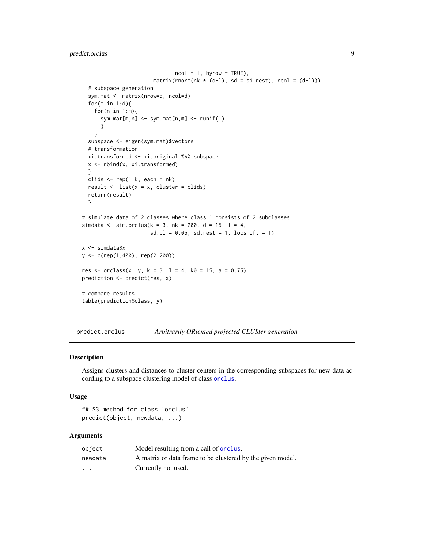#### <span id="page-8-0"></span>predict.orclus 9

```
ncol = 1, byrow = TRUE),
                       matrix(rnorm(nk * (d-1), sd = sd.rest), ncol = (d-1)))# subspace generation
  sym.mat <- matrix(nrow=d, ncol=d)
  for(m in 1:d){
    for(n in 1:m){
      sym.mat[m,n] <- sym.mat[n,m] <- runif(1)
      }
   }
  subspace <- eigen(sym.mat)$vectors
  # transformation
  xi.transformed <- xi.original %*% subspace
  x <- rbind(x, xi.transformed)
  }
  clids \leq rep(1:k, each = nk)
  result \le list(x = x, cluster = clids)
  return(result)
  }
# simulate data of 2 classes where class 1 consists of 2 subclasses
simdata <- sim.orclus(k = 3, nk = 200, d = 15, l = 4,
                      sd.cl = 0.05, sd.rest = 1, locshift = 1)
x <- simdata$x
y <- c(rep(1,400), rep(2,200))
res <- orclass(x, y, k = 3, l = 4, k0 = 15, a = 0.75)
prediction <- predict(res, x)
# compare results
table(prediction$class, y)
```
<span id="page-8-1"></span>predict.orclus *Arbitrarily ORiented projected CLUSter generation*

#### Description

Assigns clusters and distances to cluster centers in the corresponding subspaces for new data according to a subspace clustering model of class [orclus](#page-3-1).

#### Usage

```
## S3 method for class 'orclus'
predict(object, newdata, ...)
```
#### Arguments

| object                  | Model resulting from a call of <b>orclus</b> .             |
|-------------------------|------------------------------------------------------------|
| newdata                 | A matrix or data frame to be clustered by the given model. |
| $\cdot$ $\cdot$ $\cdot$ | Currently not used.                                        |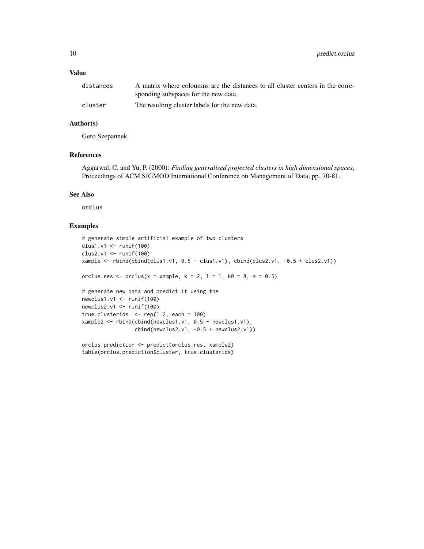#### <span id="page-9-0"></span>Value

| distances | A matrix where coloumns are the distances to all cluster centers in the corre- |
|-----------|--------------------------------------------------------------------------------|
|           | sponding subspaces for the new data.                                           |
| cluster   | The resulting cluster labels for the new data.                                 |

#### Author(s)

Gero Szepannek

#### References

Aggarwal, C. and Yu, P. (2000): *Finding generalized projected clusters in high dimensional spaces*, Proceedings of ACM SIGMOD International Conference on Management of Data, pp. 70-81.

#### See Also

[orclus](#page-3-1)

```
# generate simple artificial example of two clusters
clus1.v1 <- runif(100)
clus2.v1 <- runif(100)
xample <- rbind(cbind(clus1.v1, 0.5 - clus1.v1), cbind(clus2.v1, -0.5 + clus2.v1))
orclus.res <- orclus(x = xample, k = 2, l = 1, k0 = 8, a = 0.5)
# generate new data and predict it using the
newclus1.v1 <- runif(100)
newclus2.v1 <- runif(100)
true.clusterids \leq rep(1:2, each = 100)
xample2 <- rbind(cbind(newclus1.v1, 0.5 - newclus1.v1),
                 cbind(newclus2.v1, -0.5 + newclus2.v1))
orclus.prediction <- predict(orclus.res, xample2)
table(orclus.prediction$cluster, true.clusterids)
```